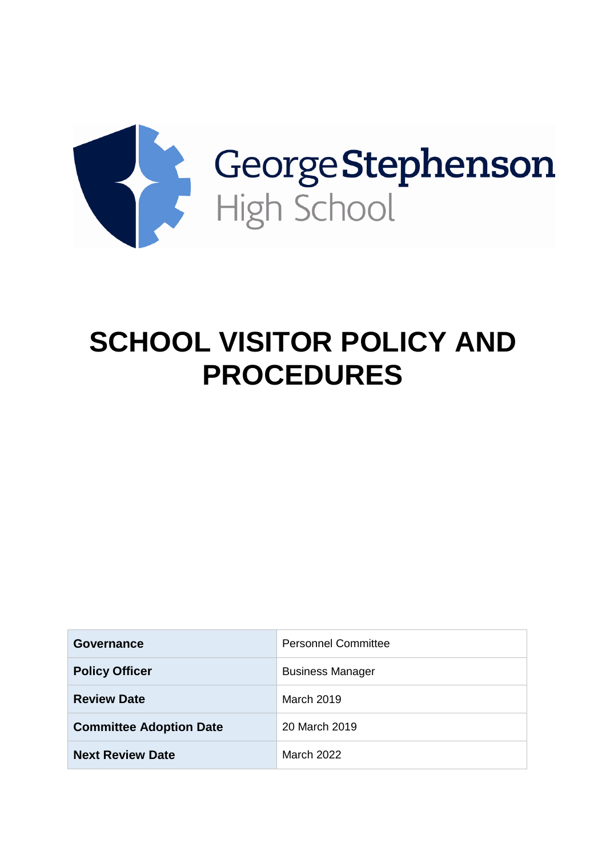

# **SCHOOL VISITOR POLICY AND PROCEDURES**

| Governance                     | <b>Personnel Committee</b> |
|--------------------------------|----------------------------|
| <b>Policy Officer</b>          | <b>Business Manager</b>    |
| <b>Review Date</b>             | March 2019                 |
| <b>Committee Adoption Date</b> | 20 March 2019              |
| <b>Next Review Date</b>        | March 2022                 |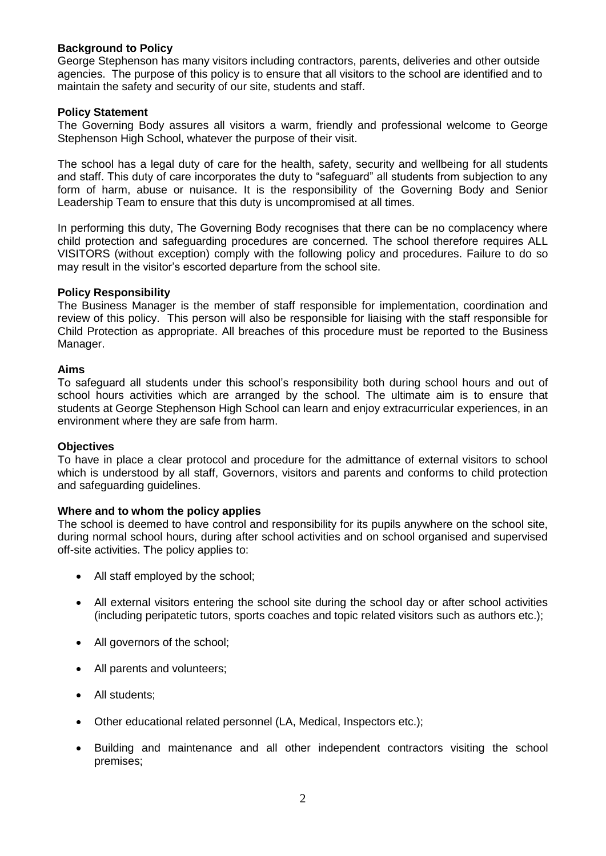#### **Background to Policy**

George Stephenson has many visitors including contractors, parents, deliveries and other outside agencies. The purpose of this policy is to ensure that all visitors to the school are identified and to maintain the safety and security of our site, students and staff.

#### **Policy Statement**

The Governing Body assures all visitors a warm, friendly and professional welcome to George Stephenson High School, whatever the purpose of their visit.

The school has a legal duty of care for the health, safety, security and wellbeing for all students and staff. This duty of care incorporates the duty to "safeguard" all students from subjection to any form of harm, abuse or nuisance. It is the responsibility of the Governing Body and Senior Leadership Team to ensure that this duty is uncompromised at all times.

In performing this duty, The Governing Body recognises that there can be no complacency where child protection and safeguarding procedures are concerned. The school therefore requires ALL VISITORS (without exception) comply with the following policy and procedures. Failure to do so may result in the visitor's escorted departure from the school site.

#### **Policy Responsibility**

The Business Manager is the member of staff responsible for implementation, coordination and review of this policy. This person will also be responsible for liaising with the staff responsible for Child Protection as appropriate. All breaches of this procedure must be reported to the Business Manager.

#### **Aims**

To safeguard all students under this school's responsibility both during school hours and out of school hours activities which are arranged by the school. The ultimate aim is to ensure that students at George Stephenson High School can learn and enjoy extracurricular experiences, in an environment where they are safe from harm.

#### **Objectives**

To have in place a clear protocol and procedure for the admittance of external visitors to school which is understood by all staff, Governors, visitors and parents and conforms to child protection and safeguarding guidelines.

#### **Where and to whom the policy applies**

The school is deemed to have control and responsibility for its pupils anywhere on the school site, during normal school hours, during after school activities and on school organised and supervised off-site activities. The policy applies to:

- All staff employed by the school;
- All external visitors entering the school site during the school day or after school activities (including peripatetic tutors, sports coaches and topic related visitors such as authors etc.);
- All governors of the school;
- All parents and volunteers;
- All students;
- Other educational related personnel (LA, Medical, Inspectors etc.);
- Building and maintenance and all other independent contractors visiting the school premises;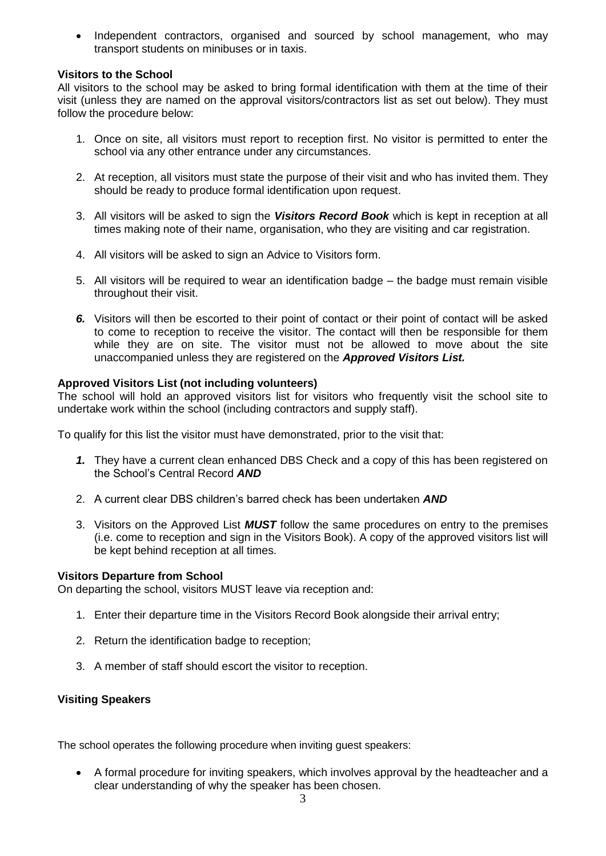• Independent contractors, organised and sourced by school management, who may transport students on minibuses or in taxis.

#### **Visitors to the School**

All visitors to the school may be asked to bring formal identification with them at the time of their visit (unless they are named on the approval visitors/contractors list as set out below). They must follow the procedure below:

- 1. Once on site, all visitors must report to reception first. No visitor is permitted to enter the school via any other entrance under any circumstances.
- 2. At reception, all visitors must state the purpose of their visit and who has invited them. They should be ready to produce formal identification upon request.
- 3. All visitors will be asked to sign the *Visitors Record Book* which is kept in reception at all times making note of their name, organisation, who they are visiting and car registration.
- 4. All visitors will be asked to sign an Advice to Visitors form.
- 5. All visitors will be required to wear an identification badge the badge must remain visible throughout their visit.
- *6.* Visitors will then be escorted to their point of contact or their point of contact will be asked to come to reception to receive the visitor. The contact will then be responsible for them while they are on site. The visitor must not be allowed to move about the site unaccompanied unless they are registered on the *Approved Visitors List.*

#### **Approved Visitors List (not including volunteers)**

The school will hold an approved visitors list for visitors who frequently visit the school site to undertake work within the school (including contractors and supply staff).

To qualify for this list the visitor must have demonstrated, prior to the visit that:

- *1.* They have a current clean enhanced DBS Check and a copy of this has been registered on the School's Central Record *AND*
- 2. A current clear DBS children's barred check has been undertaken *AND*
- 3. Visitors on the Approved List *MUST* follow the same procedures on entry to the premises (i.e. come to reception and sign in the Visitors Book). A copy of the approved visitors list will be kept behind reception at all times.

#### **Visitors Departure from School**

On departing the school, visitors MUST leave via reception and:

- 1. Enter their departure time in the Visitors Record Book alongside their arrival entry;
- 2. Return the identification badge to reception;
- 3. A member of staff should escort the visitor to reception.

#### **Visiting Speakers**

The school operates the following procedure when inviting guest speakers:

 A formal procedure for inviting speakers, which involves approval by the headteacher and a clear understanding of why the speaker has been chosen.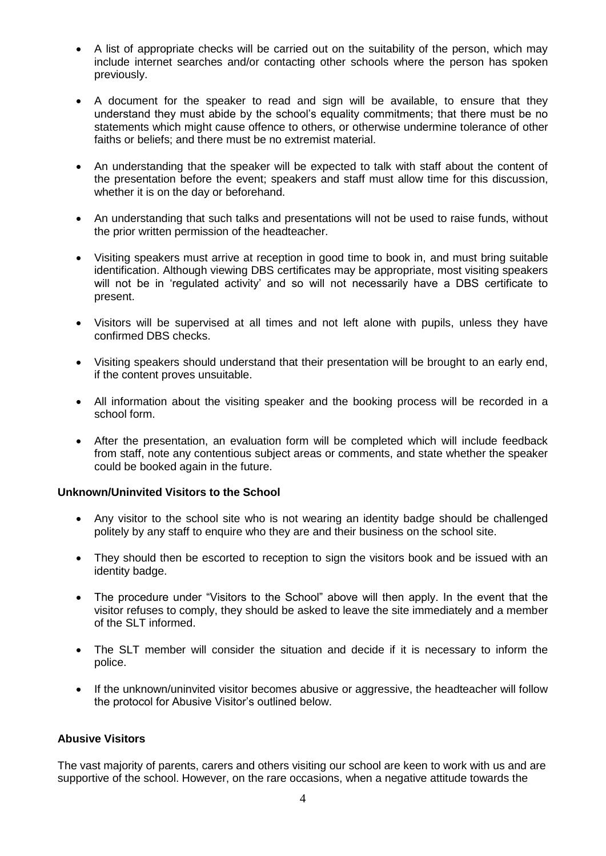- A list of appropriate checks will be carried out on the suitability of the person, which may include internet searches and/or contacting other schools where the person has spoken previously.
- A document for the speaker to read and sign will be available, to ensure that they understand they must abide by the school's equality commitments; that there must be no statements which might cause offence to others, or otherwise undermine tolerance of other faiths or beliefs; and there must be no extremist material.
- An understanding that the speaker will be expected to talk with staff about the content of the presentation before the event; speakers and staff must allow time for this discussion, whether it is on the day or beforehand.
- An understanding that such talks and presentations will not be used to raise funds, without the prior written permission of the headteacher.
- Visiting speakers must arrive at reception in good time to book in, and must bring suitable identification. Although viewing DBS certificates may be appropriate, most visiting speakers will not be in 'regulated activity' and so will not necessarily have a DBS certificate to present.
- Visitors will be supervised at all times and not left alone with pupils, unless they have confirmed DBS checks.
- Visiting speakers should understand that their presentation will be brought to an early end, if the content proves unsuitable.
- All information about the visiting speaker and the booking process will be recorded in a school form.
- After the presentation, an evaluation form will be completed which will include feedback from staff, note any contentious subject areas or comments, and state whether the speaker could be booked again in the future.

#### **Unknown/Uninvited Visitors to the School**

- Any visitor to the school site who is not wearing an identity badge should be challenged politely by any staff to enquire who they are and their business on the school site.
- They should then be escorted to reception to sign the visitors book and be issued with an identity badge.
- The procedure under "Visitors to the School" above will then apply. In the event that the visitor refuses to comply, they should be asked to leave the site immediately and a member of the SLT informed.
- The SLT member will consider the situation and decide if it is necessary to inform the police.
- If the unknown/uninvited visitor becomes abusive or aggressive, the headteacher will follow the protocol for Abusive Visitor's outlined below.

#### **Abusive Visitors**

The vast majority of parents, carers and others visiting our school are keen to work with us and are supportive of the school. However, on the rare occasions, when a negative attitude towards the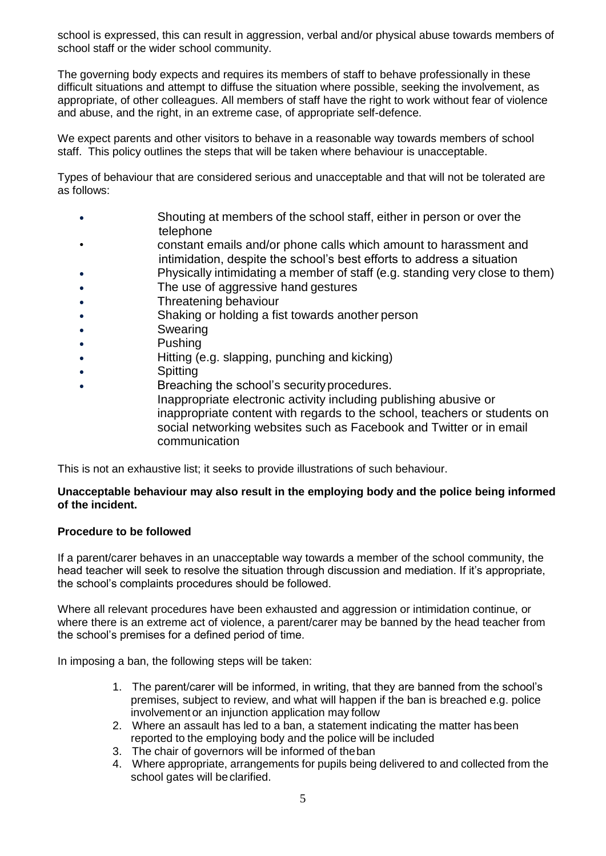school is expressed, this can result in aggression, verbal and/or physical abuse towards members of school staff or the wider school community.

The governing body expects and requires its members of staff to behave professionally in these difficult situations and attempt to diffuse the situation where possible, seeking the involvement, as appropriate, of other colleagues. All members of staff have the right to work without fear of violence and abuse, and the right, in an extreme case, of appropriate self-defence.

We expect parents and other visitors to behave in a reasonable way towards members of school staff. This policy outlines the steps that will be taken where behaviour is unacceptable.

Types of behaviour that are considered serious and unacceptable and that will not be tolerated are as follows:

- Shouting at members of the school staff, either in person or over the telephone
- constant emails and/or phone calls which amount to harassment and intimidation, despite the school's best efforts to address a situation
- Physically intimidating a member of staff (e.g. standing very close to them)
- The use of aggressive hand gestures
- Threatening behaviour
- Shaking or holding a fist towards another person
- Swearing
- **Pushing**
- Hitting (e.g. slapping, punching and kicking)
- Spitting
- Breaching the school's securityprocedures. Inappropriate electronic activity including publishing abusive or inappropriate content with regards to the school, teachers or students on social networking websites such as Facebook and Twitter or in email communication

This is not an exhaustive list; it seeks to provide illustrations of such behaviour.

#### **Unacceptable behaviour may also result in the employing body and the police being informed of the incident.**

#### **Procedure to be followed**

If a parent/carer behaves in an unacceptable way towards a member of the school community, the head teacher will seek to resolve the situation through discussion and mediation. If it's appropriate, the school's complaints procedures should be followed.

Where all relevant procedures have been exhausted and aggression or intimidation continue, or where there is an extreme act of violence, a parent/carer may be banned by the head teacher from the school's premises for a defined period of time.

In imposing a ban, the following steps will be taken:

- 1. The parent/carer will be informed, in writing, that they are banned from the school's premises, subject to review, and what will happen if the ban is breached e.g. police involvement or an injunction application may follow
- 2. Where an assault has led to a ban, a statement indicating the matter has been reported to the employing body and the police will be included
- 3. The chair of governors will be informed of theban
- 4. Where appropriate, arrangements for pupils being delivered to and collected from the school gates will beclarified.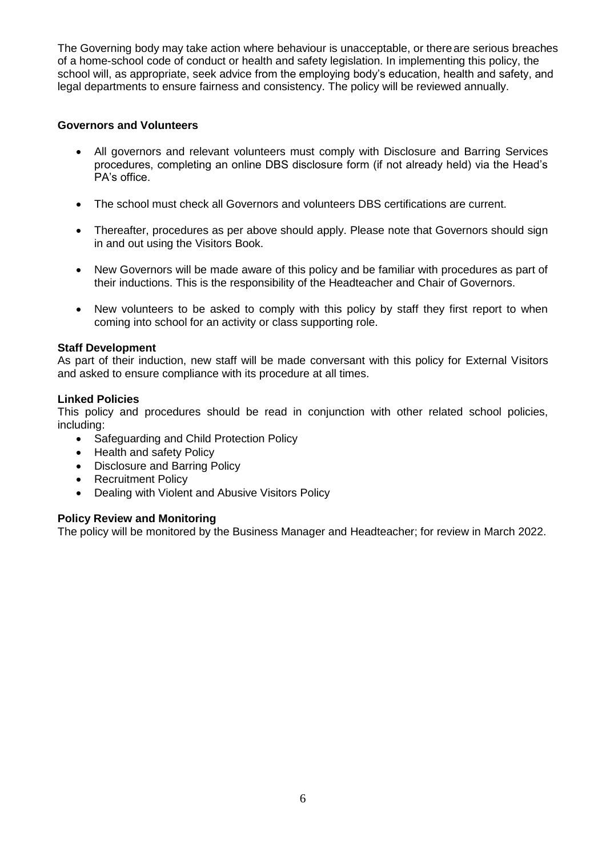The Governing body may take action where behaviour is unacceptable, or thereare serious breaches of a home-school code of conduct or health and safety legislation. In implementing this policy, the school will, as appropriate, seek advice from the employing body's education, health and safety, and legal departments to ensure fairness and consistency. The policy will be reviewed annually.

#### **Governors and Volunteers**

- All governors and relevant volunteers must comply with Disclosure and Barring Services procedures, completing an online DBS disclosure form (if not already held) via the Head's PA's office.
- The school must check all Governors and volunteers DBS certifications are current.
- Thereafter, procedures as per above should apply. Please note that Governors should sign in and out using the Visitors Book.
- New Governors will be made aware of this policy and be familiar with procedures as part of their inductions. This is the responsibility of the Headteacher and Chair of Governors.
- New volunteers to be asked to comply with this policy by staff they first report to when coming into school for an activity or class supporting role.

#### **Staff Development**

As part of their induction, new staff will be made conversant with this policy for External Visitors and asked to ensure compliance with its procedure at all times.

#### **Linked Policies**

This policy and procedures should be read in conjunction with other related school policies, including:

- Safeguarding and Child Protection Policy
- Health and safety Policy
- Disclosure and Barring Policy
- Recruitment Policy
- Dealing with Violent and Abusive Visitors Policy

#### **Policy Review and Monitoring**

The policy will be monitored by the Business Manager and Headteacher; for review in March 2022.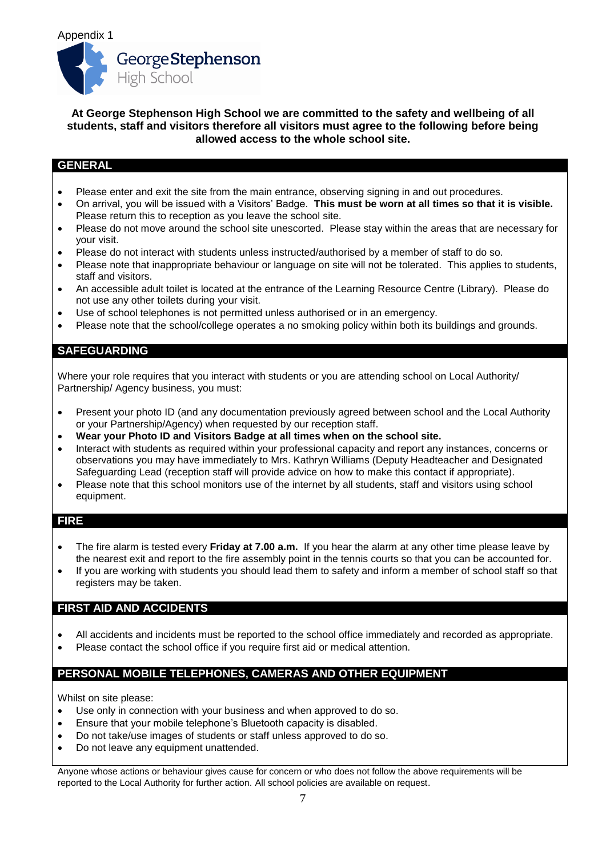#### **At George Stephenson High School we are committed to the safety and wellbeing of all students, staff and visitors therefore all visitors must agree to the following before being allowed access to the whole school site.**

### **GENERAL**

- Please enter and exit the site from the main entrance, observing signing in and out procedures.
- On arrival, you will be issued with a Visitors' Badge. **This must be worn at all times so that it is visible.** Please return this to reception as you leave the school site.
- Please do not move around the school site unescorted. Please stay within the areas that are necessary for your visit.
- Please do not interact with students unless instructed/authorised by a member of staff to do so.
- Please note that inappropriate behaviour or language on site will not be tolerated. This applies to students, staff and visitors.
- An accessible adult toilet is located at the entrance of the Learning Resource Centre (Library). Please do not use any other toilets during your visit.
- Use of school telephones is not permitted unless authorised or in an emergency.
- Please note that the school/college operates a no smoking policy within both its buildings and grounds.

#### **SAFEGUARDING**

Where your role requires that you interact with students or you are attending school on Local Authority/ Partnership/ Agency business, you must:

- Present your photo ID (and any documentation previously agreed between school and the Local Authority or your Partnership/Agency) when requested by our reception staff.
- **Wear your Photo ID and Visitors Badge at all times when on the school site.**
- Interact with students as required within your professional capacity and report any instances, concerns or observations you may have immediately to Mrs. Kathryn Williams (Deputy Headteacher and Designated Safeguarding Lead (reception staff will provide advice on how to make this contact if appropriate).
- Please note that this school monitors use of the internet by all students, staff and visitors using school equipment.

#### **FIRE**

- The fire alarm is tested every **Friday at 7.00 a.m.** If you hear the alarm at any other time please leave by the nearest exit and report to the fire assembly point in the tennis courts so that you can be accounted for.
- If you are working with students you should lead them to safety and inform a member of school staff so that registers may be taken.

#### **FIRST AID AND ACCIDENTS**

- All accidents and incidents must be reported to the school office immediately and recorded as appropriate.
- Please contact the school office if you require first aid or medical attention.

#### **PERSONAL MOBILE TELEPHONES, CAMERAS AND OTHER EQUIPMENT**

Whilst on site please:

- Use only in connection with your business and when approved to do so.
- Ensure that your mobile telephone's Bluetooth capacity is disabled.
- Do not take/use images of students or staff unless approved to do so.
- Do not leave any equipment unattended.

Anyone whose actions or behaviour gives cause for concern or who does not follow the above requirements will be reported to the Local Authority for further action. All school policies are available on request.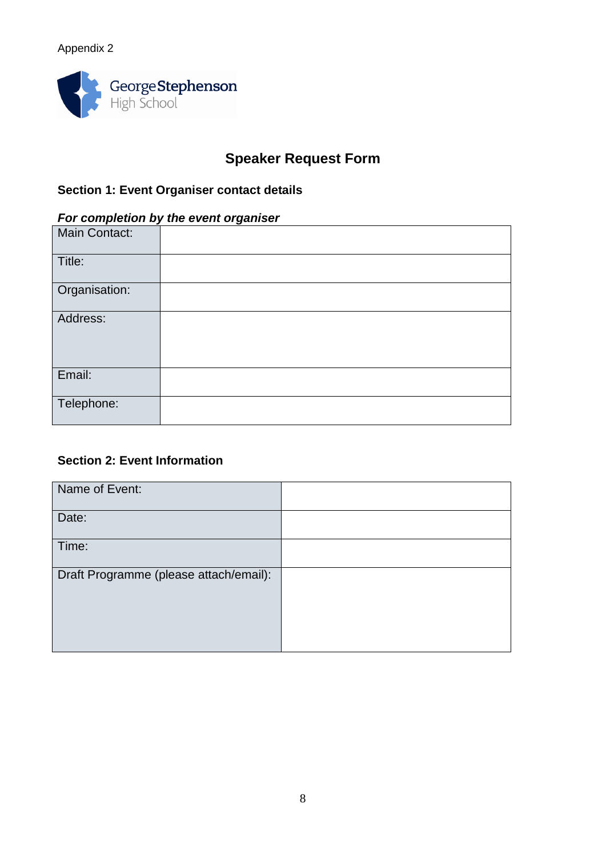# Appendix 2



# **Speaker Request Form**

# **Section 1: Event Organiser contact details**

# *For completion by the event organiser*

| Main Contact: |  |
|---------------|--|
| Title:        |  |
| Organisation: |  |
| Address:      |  |
| Email:        |  |
| Telephone:    |  |

# **Section 2: Event Information**

| Name of Event:                         |  |
|----------------------------------------|--|
| Date:                                  |  |
| Time:                                  |  |
| Draft Programme (please attach/email): |  |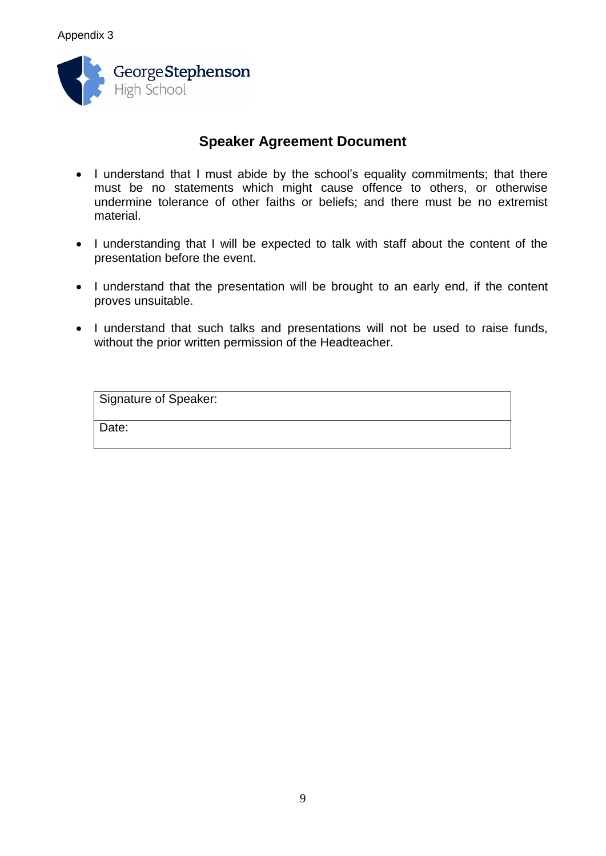

# **Speaker Agreement Document**

- I understand that I must abide by the school's equality commitments; that there must be no statements which might cause offence to others, or otherwise undermine tolerance of other faiths or beliefs; and there must be no extremist material.
- I understanding that I will be expected to talk with staff about the content of the presentation before the event.
- I understand that the presentation will be brought to an early end, if the content proves unsuitable.
- I understand that such talks and presentations will not be used to raise funds, without the prior written permission of the Headteacher.

| <b>Signature of Speaker:</b> |  |  |
|------------------------------|--|--|
| Date:                        |  |  |